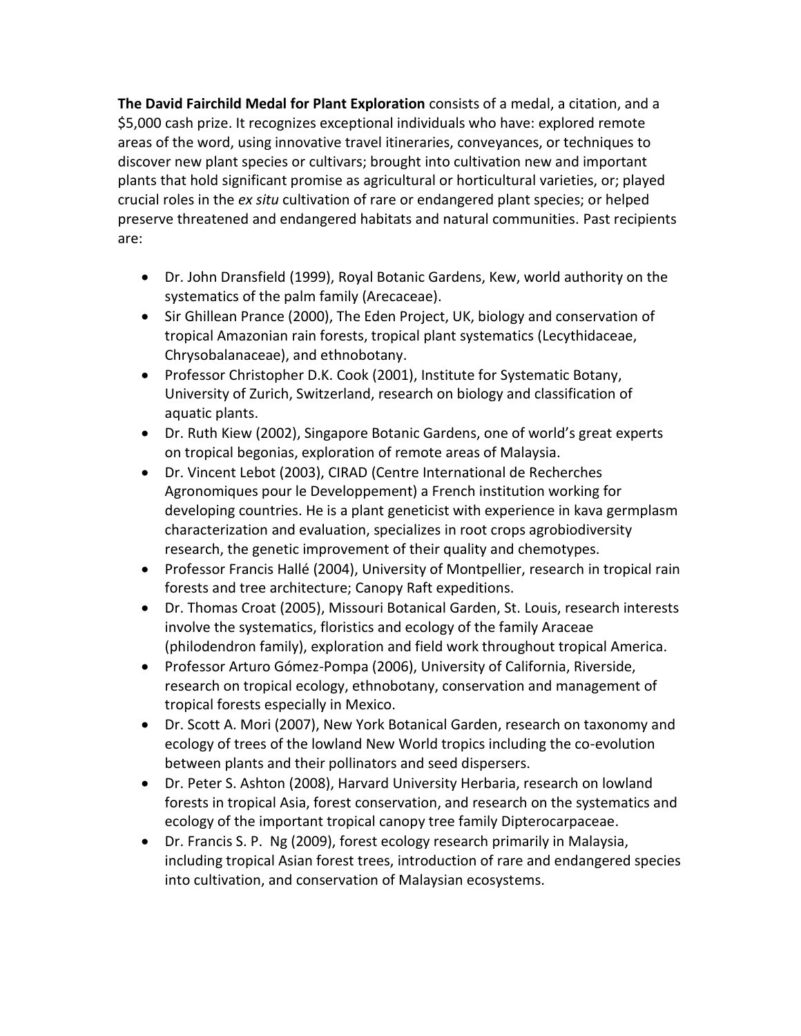**The David Fairchild Medal for Plant Exploration** consists of a medal, a citation, and a \$5,000 cash prize. It recognizes exceptional individuals who have: explored remote areas of the word, using innovative travel itineraries, conveyances, or techniques to discover new plant species or cultivars; brought into cultivation new and important plants that hold significant promise as agricultural or horticultural varieties, or; played crucial roles in the *ex situ* cultivation of rare or endangered plant species; or helped preserve threatened and endangered habitats and natural communities. Past recipients are:

- Dr. John Dransfield (1999), Royal Botanic Gardens, Kew, world authority on the systematics of the palm family (Arecaceae).
- Sir Ghillean Prance (2000), The Eden Project, UK, biology and conservation of tropical Amazonian rain forests, tropical plant systematics (Lecythidaceae, Chrysobalanaceae), and ethnobotany.
- Professor Christopher D.K. Cook (2001), Institute for Systematic Botany, University of Zurich, Switzerland, research on biology and classification of aquatic plants.
- Dr. Ruth Kiew (2002), Singapore Botanic Gardens, one of world's great experts on tropical begonias, exploration of remote areas of Malaysia.
- Dr. Vincent Lebot (2003), CIRAD (Centre International de Recherches Agronomiques pour le Developpement) a French institution working for developing countries. He is a plant geneticist with experience in kava germplasm characterization and evaluation, specializes in root crops agrobiodiversity research, the genetic improvement of their quality and chemotypes.
- Professor Francis Hallé (2004), University of Montpellier, research in tropical rain forests and tree architecture; Canopy Raft expeditions.
- Dr. Thomas Croat (2005), Missouri Botanical Garden, St. Louis, research interests involve the systematics, floristics and ecology of the family Araceae (philodendron family), exploration and field work throughout tropical America.
- Professor Arturo Gómez-Pompa (2006), University of California, Riverside, research on tropical ecology, ethnobotany, conservation and management of tropical forests especially in Mexico.
- Dr. Scott A. Mori (2007), New York Botanical Garden, research on taxonomy and ecology of trees of the lowland New World tropics including the co-evolution between plants and their pollinators and seed dispersers.
- Dr. Peter S. Ashton (2008), Harvard University Herbaria, research on lowland forests in tropical Asia, forest conservation, and research on the systematics and ecology of the important tropical canopy tree family Dipterocarpaceae.
- Dr. Francis S. P. Ng (2009), forest ecology research primarily in Malaysia, including tropical Asian forest trees, introduction of rare and endangered species into cultivation, and conservation of Malaysian ecosystems.